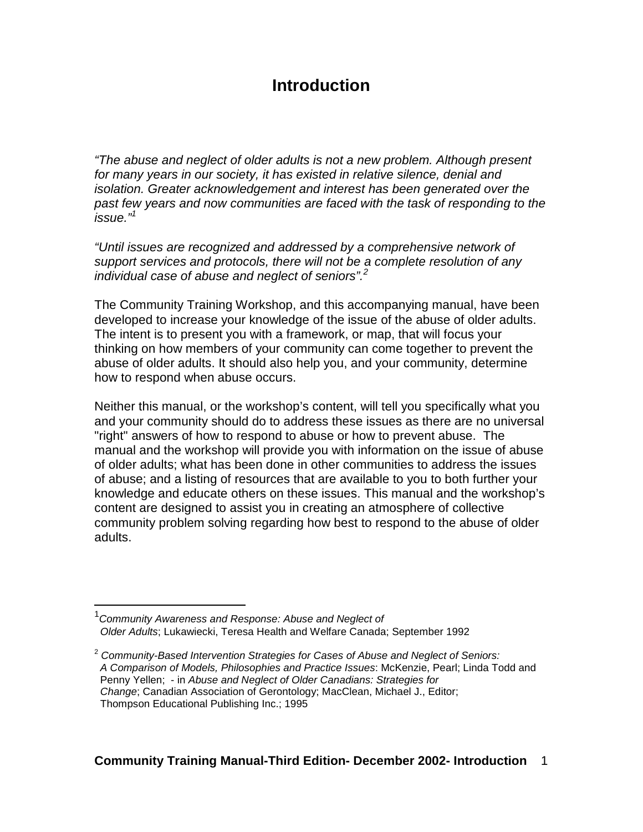# **Introduction**

"The abuse and neglect of older adults is not a new problem. Although present for many years in our society, it has existed in relative silence, denial and isolation. Greater acknowledgement and interest has been generated over the past few years and now communities are faced with the task of responding to the issue."<sup>1</sup>

"Until issues are recognized and addressed by a comprehensive network of support services and protocols, there will not be a complete resolution of any individual case of abuse and neglect of seniors". $2^2$ 

The Community Training Workshop, and this accompanying manual, have been developed to increase your knowledge of the issue of the abuse of older adults. The intent is to present you with a framework, or map, that will focus your thinking on how members of your community can come together to prevent the abuse of older adults. It should also help you, and your community, determine how to respond when abuse occurs.

Neither this manual, or the workshop's content, will tell you specifically what you and your community should do to address these issues as there are no universal "right" answers of how to respond to abuse or how to prevent abuse. The manual and the workshop will provide you with information on the issue of abuse of older adults; what has been done in other communities to address the issues of abuse; and a listing of resources that are available to you to both further your knowledge and educate others on these issues. This manual and the workshop's content are designed to assist you in creating an atmosphere of collective community problem solving regarding how best to respond to the abuse of older adults.

1

<sup>&</sup>lt;sup>1</sup> Community Awareness and Response: Abuse and Neglect of Older Adults; Lukawiecki, Teresa Health and Welfare Canada; September 1992

 $2$  Community-Based Intervention Strategies for Cases of Abuse and Neglect of Seniors: A Comparison of Models, Philosophies and Practice Issues: McKenzie, Pearl; Linda Todd and Penny Yellen; - in Abuse and Neglect of Older Canadians: Strategies for Change; Canadian Association of Gerontology; MacClean, Michael J., Editor; Thompson Educational Publishing Inc.; 1995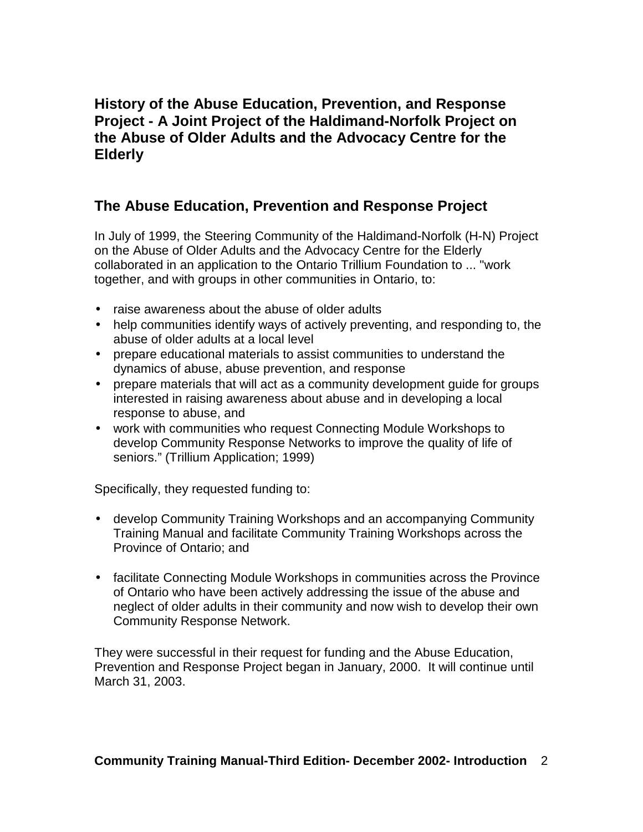### **History of the Abuse Education, Prevention, and Response Project - A Joint Project of the Haldimand-Norfolk Project on the Abuse of Older Adults and the Advocacy Centre for the Elderly**

### **The Abuse Education, Prevention and Response Project**

In July of 1999, the Steering Community of the Haldimand-Norfolk (H-N) Project on the Abuse of Older Adults and the Advocacy Centre for the Elderly collaborated in an application to the Ontario Trillium Foundation to ... "work together, and with groups in other communities in Ontario, to:

- raise awareness about the abuse of older adults
- help communities identify ways of actively preventing, and responding to, the abuse of older adults at a local level
- prepare educational materials to assist communities to understand the dynamics of abuse, abuse prevention, and response
- prepare materials that will act as a community development guide for groups interested in raising awareness about abuse and in developing a local response to abuse, and
- work with communities who request Connecting Module Workshops to develop Community Response Networks to improve the quality of life of seniors." (Trillium Application; 1999)

Specifically, they requested funding to:

- develop Community Training Workshops and an accompanying Community Training Manual and facilitate Community Training Workshops across the Province of Ontario; and
- facilitate Connecting Module Workshops in communities across the Province of Ontario who have been actively addressing the issue of the abuse and neglect of older adults in their community and now wish to develop their own Community Response Network.

They were successful in their request for funding and the Abuse Education, Prevention and Response Project began in January, 2000. It will continue until March 31, 2003.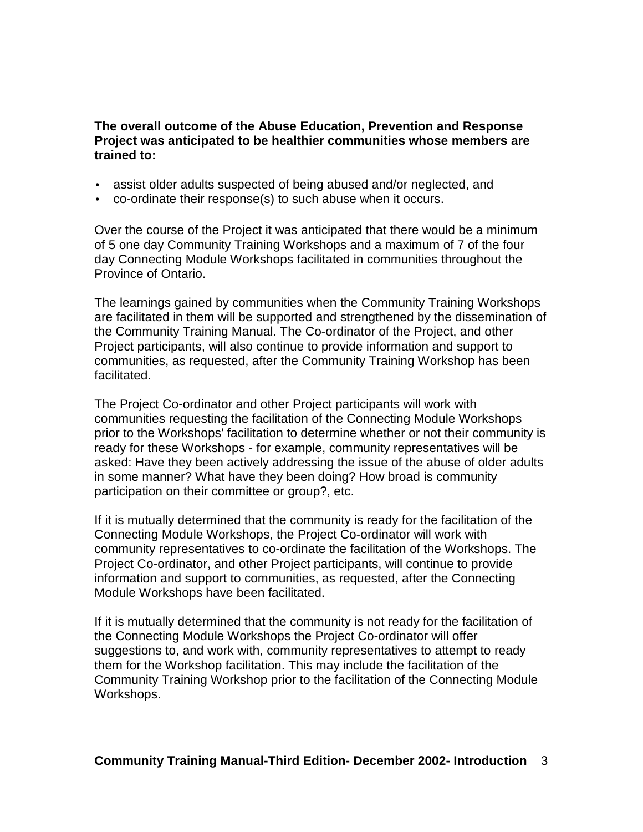**The overall outcome of the Abuse Education, Prevention and Response Project was anticipated to be healthier communities whose members are trained to:** 

- assist older adults suspected of being abused and/or neglected, and
- co-ordinate their response(s) to such abuse when it occurs.

Over the course of the Project it was anticipated that there would be a minimum of 5 one day Community Training Workshops and a maximum of 7 of the four day Connecting Module Workshops facilitated in communities throughout the Province of Ontario.

The learnings gained by communities when the Community Training Workshops are facilitated in them will be supported and strengthened by the dissemination of the Community Training Manual. The Co-ordinator of the Project, and other Project participants, will also continue to provide information and support to communities, as requested, after the Community Training Workshop has been facilitated.

The Project Co-ordinator and other Project participants will work with communities requesting the facilitation of the Connecting Module Workshops prior to the Workshops' facilitation to determine whether or not their community is ready for these Workshops - for example, community representatives will be asked: Have they been actively addressing the issue of the abuse of older adults in some manner? What have they been doing? How broad is community participation on their committee or group?, etc.

If it is mutually determined that the community is ready for the facilitation of the Connecting Module Workshops, the Project Co-ordinator will work with community representatives to co-ordinate the facilitation of the Workshops. The Project Co-ordinator, and other Project participants, will continue to provide information and support to communities, as requested, after the Connecting Module Workshops have been facilitated.

If it is mutually determined that the community is not ready for the facilitation of the Connecting Module Workshops the Project Co-ordinator will offer suggestions to, and work with, community representatives to attempt to ready them for the Workshop facilitation. This may include the facilitation of the Community Training Workshop prior to the facilitation of the Connecting Module Workshops.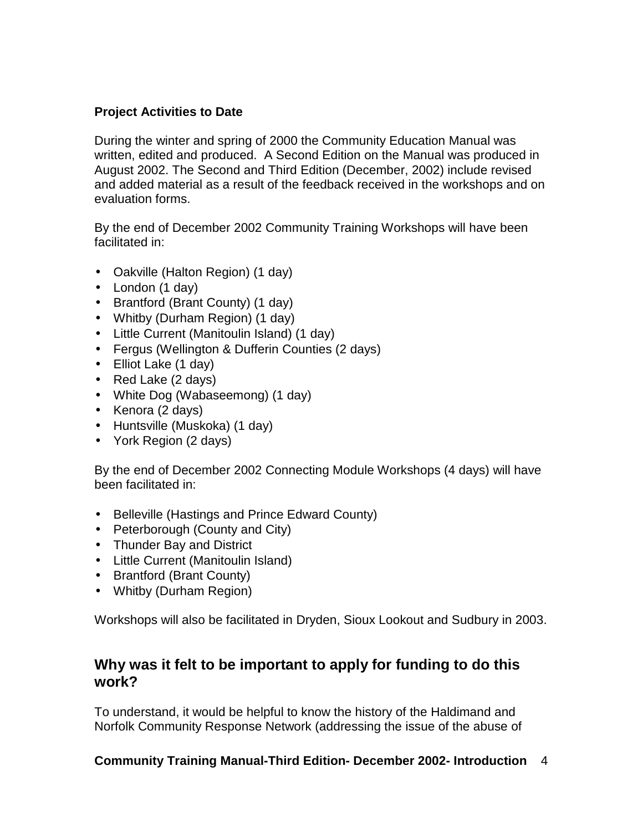### **Project Activities to Date**

During the winter and spring of 2000 the Community Education Manual was written, edited and produced. A Second Edition on the Manual was produced in August 2002. The Second and Third Edition (December, 2002) include revised and added material as a result of the feedback received in the workshops and on evaluation forms.

By the end of December 2002 Community Training Workshops will have been facilitated in:

- Oakville (Halton Region) (1 day)
- London (1 day)
- Brantford (Brant County) (1 day)
- Whitby (Durham Region) (1 day)
- Little Current (Manitoulin Island) (1 day)
- Fergus (Wellington & Dufferin Counties (2 days)
- Elliot Lake (1 day)
- Red Lake (2 days)
- White Dog (Wabaseemong) (1 day)
- Kenora (2 days)
- Huntsville (Muskoka) (1 day)
- York Region (2 days)

By the end of December 2002 Connecting Module Workshops (4 days) will have been facilitated in:

- Belleville (Hastings and Prince Edward County)
- Peterborough (County and City)
- Thunder Bay and District
- Little Current (Manitoulin Island)
- Brantford (Brant County)
- Whitby (Durham Region)

Workshops will also be facilitated in Dryden, Sioux Lookout and Sudbury in 2003.

### **Why was it felt to be important to apply for funding to do this work?**

To understand, it would be helpful to know the history of the Haldimand and Norfolk Community Response Network (addressing the issue of the abuse of

**Community Training Manual-Third Edition- December 2002- Introduction** 4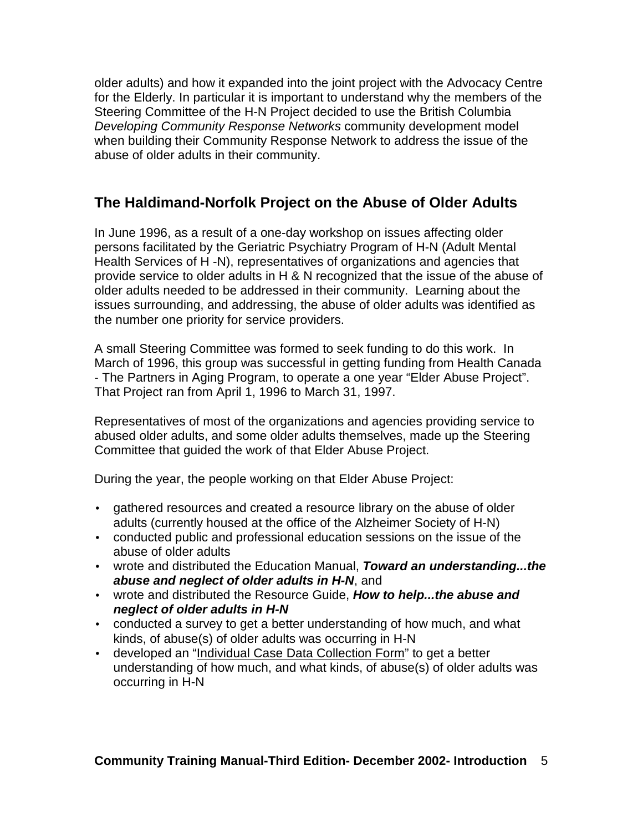older adults) and how it expanded into the joint project with the Advocacy Centre for the Elderly. In particular it is important to understand why the members of the Steering Committee of the H-N Project decided to use the British Columbia Developing Community Response Networks community development model when building their Community Response Network to address the issue of the abuse of older adults in their community.

## **The Haldimand-Norfolk Project on the Abuse of Older Adults**

In June 1996, as a result of a one-day workshop on issues affecting older persons facilitated by the Geriatric Psychiatry Program of H-N (Adult Mental Health Services of H -N), representatives of organizations and agencies that provide service to older adults in H & N recognized that the issue of the abuse of older adults needed to be addressed in their community. Learning about the issues surrounding, and addressing, the abuse of older adults was identified as the number one priority for service providers.

A small Steering Committee was formed to seek funding to do this work. In March of 1996, this group was successful in getting funding from Health Canada - The Partners in Aging Program, to operate a one year "Elder Abuse Project". That Project ran from April 1, 1996 to March 31, 1997.

Representatives of most of the organizations and agencies providing service to abused older adults, and some older adults themselves, made up the Steering Committee that guided the work of that Elder Abuse Project.

During the year, the people working on that Elder Abuse Project:

- gathered resources and created a resource library on the abuse of older adults (currently housed at the office of the Alzheimer Society of H-N)
- conducted public and professional education sessions on the issue of the abuse of older adults
- wrote and distributed the Education Manual, **Toward an understanding...the abuse and neglect of older adults in H-N**, and
- wrote and distributed the Resource Guide, **How to help...the abuse and neglect of older adults in H-N**
- conducted a survey to get a better understanding of how much, and what kinds, of abuse(s) of older adults was occurring in H-N
- developed an "Individual Case Data Collection Form" to get a better understanding of how much, and what kinds, of abuse(s) of older adults was occurring in H-N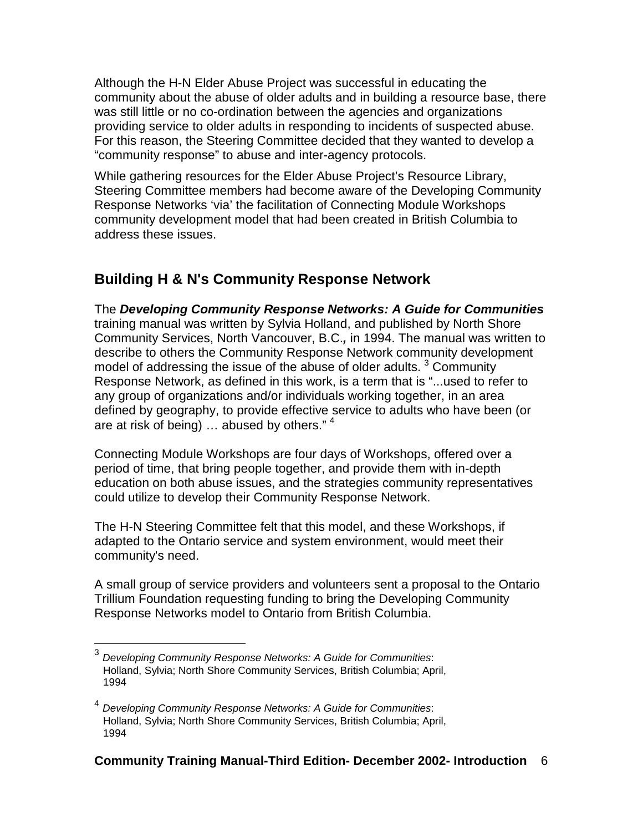Although the H-N Elder Abuse Project was successful in educating the community about the abuse of older adults and in building a resource base, there was still little or no co-ordination between the agencies and organizations providing service to older adults in responding to incidents of suspected abuse. For this reason, the Steering Committee decided that they wanted to develop a "community response" to abuse and inter-agency protocols.

While gathering resources for the Elder Abuse Project's Resource Library, Steering Committee members had become aware of the Developing Community Response Networks 'via' the facilitation of Connecting Module Workshops community development model that had been created in British Columbia to address these issues.

## **Building H & N's Community Response Network**

The **Developing Community Response Networks: A Guide for Communities** training manual was written by Sylvia Holland, and published by North Shore Community Services, North Vancouver, B.C.**,** in 1994. The manual was written to describe to others the Community Response Network community development model of addressing the issue of the abuse of older adults.  $3$  Community Response Network, as defined in this work, is a term that is "...used to refer to any group of organizations and/or individuals working together, in an area defined by geography, to provide effective service to adults who have been (or are at risk of being) ... abused by others."<sup>4</sup>

Connecting Module Workshops are four days of Workshops, offered over a period of time, that bring people together, and provide them with in-depth education on both abuse issues, and the strategies community representatives could utilize to develop their Community Response Network.

The H-N Steering Committee felt that this model, and these Workshops, if adapted to the Ontario service and system environment, would meet their community's need.

A small group of service providers and volunteers sent a proposal to the Ontario Trillium Foundation requesting funding to bring the Developing Community Response Networks model to Ontario from British Columbia.

 3 Developing Community Response Networks: A Guide for Communities: Holland, Sylvia; North Shore Community Services, British Columbia; April, 1994

<sup>4</sup> Developing Community Response Networks: A Guide for Communities: Holland, Sylvia; North Shore Community Services, British Columbia; April, 1994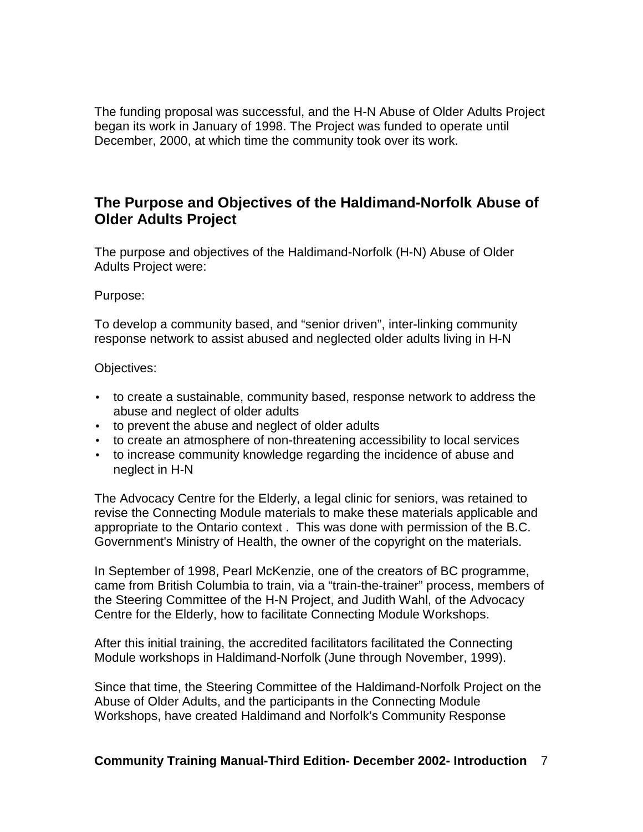The funding proposal was successful, and the H-N Abuse of Older Adults Project began its work in January of 1998. The Project was funded to operate until December, 2000, at which time the community took over its work.

### **The Purpose and Objectives of the Haldimand-Norfolk Abuse of Older Adults Project**

The purpose and objectives of the Haldimand-Norfolk (H-N) Abuse of Older Adults Project were:

#### Purpose:

To develop a community based, and "senior driven", inter-linking community response network to assist abused and neglected older adults living in H-N

Objectives:

- to create a sustainable, community based, response network to address the abuse and neglect of older adults
- to prevent the abuse and neglect of older adults
- to create an atmosphere of non-threatening accessibility to local services
- to increase community knowledge regarding the incidence of abuse and neglect in H-N

The Advocacy Centre for the Elderly, a legal clinic for seniors, was retained to revise the Connecting Module materials to make these materials applicable and appropriate to the Ontario context . This was done with permission of the B.C. Government's Ministry of Health, the owner of the copyright on the materials.

In September of 1998, Pearl McKenzie, one of the creators of BC programme, came from British Columbia to train, via a "train-the-trainer" process, members of the Steering Committee of the H-N Project, and Judith Wahl, of the Advocacy Centre for the Elderly, how to facilitate Connecting Module Workshops.

After this initial training, the accredited facilitators facilitated the Connecting Module workshops in Haldimand-Norfolk (June through November, 1999).

Since that time, the Steering Committee of the Haldimand-Norfolk Project on the Abuse of Older Adults, and the participants in the Connecting Module Workshops, have created Haldimand and Norfolk's Community Response

#### **Community Training Manual-Third Edition- December 2002- Introduction** 7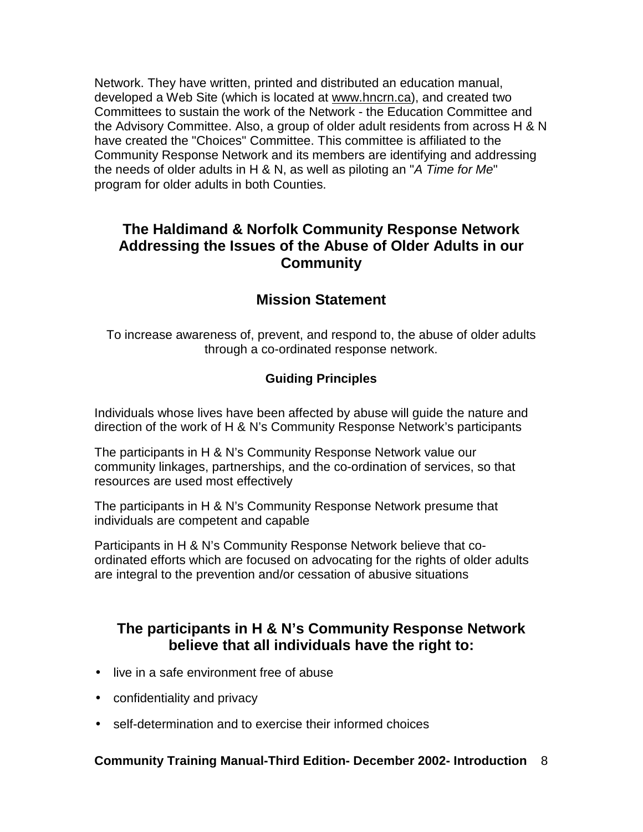Network. They have written, printed and distributed an education manual, developed a Web Site (which is located at www.hncrn.ca), and created two Committees to sustain the work of the Network - the Education Committee and the Advisory Committee. Also, a group of older adult residents from across H & N have created the "Choices" Committee. This committee is affiliated to the Community Response Network and its members are identifying and addressing the needs of older adults in H & N, as well as piloting an "A Time for Me" program for older adults in both Counties.

### **The Haldimand & Norfolk Community Response Network Addressing the Issues of the Abuse of Older Adults in our Community**

## **Mission Statement**

To increase awareness of, prevent, and respond to, the abuse of older adults through a co-ordinated response network.

### **Guiding Principles**

Individuals whose lives have been affected by abuse will guide the nature and direction of the work of H & N's Community Response Network's participants

The participants in H & N's Community Response Network value our community linkages, partnerships, and the co-ordination of services, so that resources are used most effectively

The participants in H & N's Community Response Network presume that individuals are competent and capable

Participants in H & N's Community Response Network believe that coordinated efforts which are focused on advocating for the rights of older adults are integral to the prevention and/or cessation of abusive situations

### **The participants in H & N's Community Response Network believe that all individuals have the right to:**

- live in a safe environment free of abuse
- confidentiality and privacy
- self-determination and to exercise their informed choices

### **Community Training Manual-Third Edition- December 2002- Introduction** 8